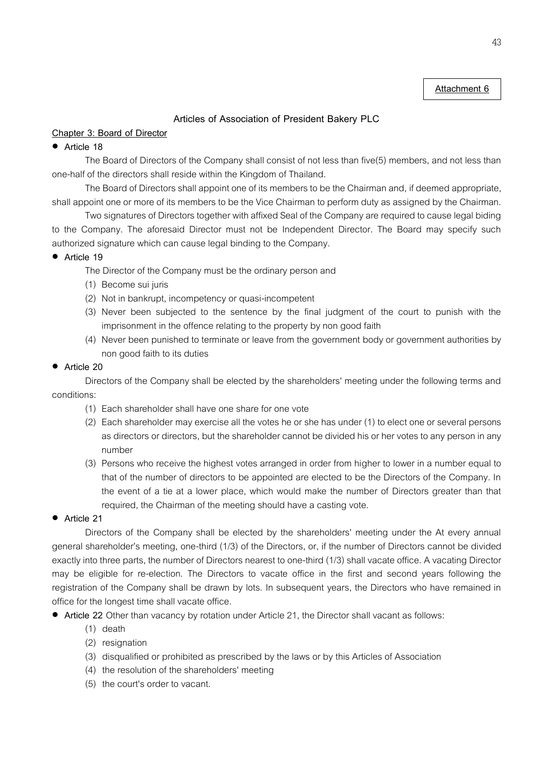# **Attachment 6**

# **Articles of Association of President Bakery PLC**

# **Chapter 3: Board of Director**

## **Article 18**

The Board of Directors of the Company shall consist of not less than five(5) members, and not less than one-half of the directors shall reside within the Kingdom of Thailand.

The Board of Directors shall appoint one of its members to be the Chairman and, if deemed appropriate, shall appoint one or more of its members to be the Vice Chairman to perform duty as assigned by the Chairman.

Two signatures of Directors together with affixed Seal of the Company are required to cause legal biding to the Company. The aforesaid Director must not be Independent Director. The Board may specify such authorized signature which can cause legal binding to the Company.

# **Article 19**

- The Director of the Company must be the ordinary person and
- (1) Become sui juris
- (2) Not in bankrupt, incompetency or quasi-incompetent
- (3) Never been subjected to the sentence by the final judgment of the court to punish with the imprisonment in the offence relating to the property by non good faith
- (4) Never been punished to terminate or leave from the government body or government authorities by non good faith to its duties

# **Article 20**

Directors of the Company shall be elected by the shareholders' meeting under the following terms and conditions:

- (1) Each shareholder shall have one share for one vote
- (2) Each shareholder may exercise all the votes he or she has under (1) to elect one or several persons as directors or directors, but the shareholder cannot be divided his or her votes to any person in any number
- (3) Persons who receive the highest votes arranged in order from higher to lower in a number equal to that of the number of directors to be appointed are elected to be the Directors of the Company. In the event of a tie at a lower place, which would make the number of Directors greater than that required, the Chairman of the meeting should have a casting vote.
- **Article 21**

Directors of the Company shall be elected by the shareholders' meeting under the At every annual general shareholder's meeting, one-third (1/3) of the Directors, or, if the number of Directors cannot be divided exactly into three parts, the number of Directors nearest to one-third (1/3) shall vacate office. A vacating Director may be eligible for re-election. The Directors to vacate office in the first and second years following the registration of the Company shall be drawn by lots. In subsequent years, the Directors who have remained in office for the longest time shall vacate office.

- **Article 22** Other than vacancy by rotation under Article 21, the Director shall vacant as follows:
	- (1) death
	- (2) resignation
	- (3) disqualified or prohibited as prescribed by the laws or by this Articles of Association
	- (4) the resolution of the shareholders' meeting
	- (5) the court's order to vacant.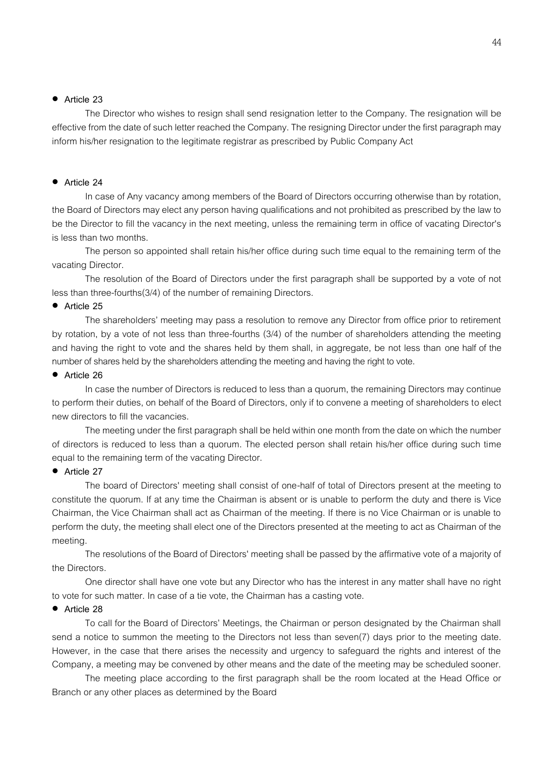### **Article 23**

The Director who wishes to resign shall send resignation letter to the Company. The resignation will be effective from the date of such letter reached the Company. The resigning Director under the first paragraph may inform his/her resignation to the legitimate registrar as prescribed by Public Company Act

#### **Article 24**

In case of Any vacancy among members of the Board of Directors occurring otherwise than by rotation, the Board of Directors may elect any person having qualifications and not prohibited as prescribed by the law to be the Director to fill the vacancy in the next meeting, unless the remaining term in office of vacating Director's is less than two months.

The person so appointed shall retain his/her office during such time equal to the remaining term of the vacating Director.

The resolution of the Board of Directors under the first paragraph shall be supported by a vote of not less than three-fourths(3/4) of the number of remaining Directors.

### **Article 25**

The shareholders' meeting may pass a resolution to remove any Director from office prior to retirement by rotation, by a vote of not less than three-fourths (3/4) of the number of shareholders attending the meeting and having the right to vote and the shares held by them shall, in aggregate, be not less than one half of the number of shares held by the shareholders attending the meeting and having the right to vote.

#### **Article 26**

In case the number of Directors is reduced to less than a quorum, the remaining Directors may continue to perform their duties, on behalf of the Board of Directors, only if to convene a meeting of shareholders to elect new directors to fill the vacancies.

The meeting under the first paragraph shall be held within one month from the date on which the number of directors is reduced to less than a quorum. The elected person shall retain his/her office during such time equal to the remaining term of the vacating Director.

#### **Article 27**

The board of Directors' meeting shall consist of one-half of total of Directors present at the meeting to constitute the quorum. If at any time the Chairman is absent or is unable to perform the duty and there is Vice Chairman, the Vice Chairman shall act as Chairman of the meeting. If there is no Vice Chairman or is unable to perform the duty, the meeting shall elect one of the Directors presented at the meeting to act as Chairman of the meeting.

The resolutions of the Board of Directors' meeting shall be passed by the affirmative vote of a majority of the Directors.

One director shall have one vote but any Director who has the interest in any matter shall have no right to vote for such matter. In case of a tie vote, the Chairman has a casting vote.

## **Article 28**

To call for the Board of Directors' Meetings, the Chairman or person designated by the Chairman shall send a notice to summon the meeting to the Directors not less than seven(7) days prior to the meeting date. However, in the case that there arises the necessity and urgency to safeguard the rights and interest of the Company, a meeting may be convened by other means and the date of the meeting may be scheduled sooner.

The meeting place according to the first paragraph shall be the room located at the Head Office or Branch or any other places as determined by the Board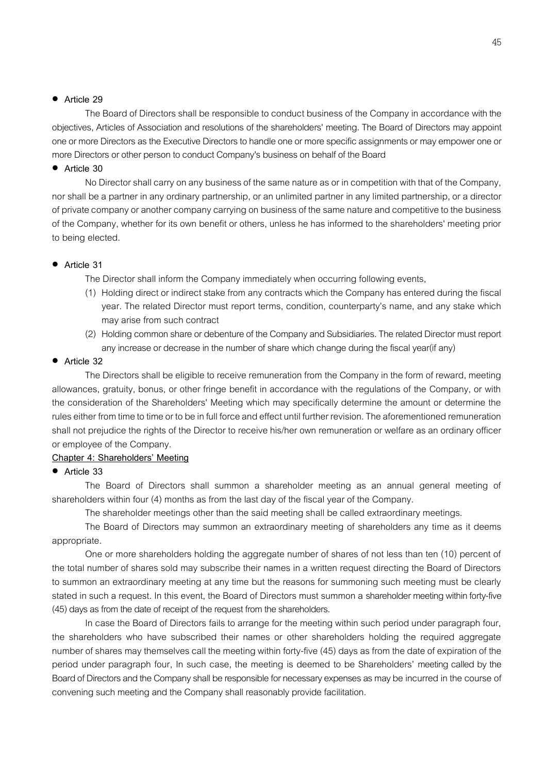### **Article 29**

The Board of Directors shall be responsible to conduct business of the Company in accordance with the objectives, Articles of Association and resolutions of the shareholders' meeting. The Board of Directors may appoint one or more Directors as the Executive Directors to handle one or more specific assignments or may empower one or more Directors or other person to conduct Company's business on behalf of the Board

#### **Article 30**

No Director shall carry on any business of the same nature as or in competition with that of the Company, nor shall be a partner in any ordinary partnership, or an unlimited partner in any limited partnership, or a director of private company or another company carrying on business of the same nature and competitive to the business of the Company, whether for its own benefit or others, unless he has informed to the shareholders' meeting prior to being elected.

#### **Article 31**

The Director shall inform the Company immediately when occurring following events,

- (1) Holding direct or indirect stake from any contracts which the Company has entered during the fiscal year. The related Director must report terms, condition, counterparty's name, and any stake which may arise from such contract
- (2) Holding common share or debenture of the Company and Subsidiaries. The related Director must report any increase or decrease in the number of share which change during thefiscal year(if any)

#### **Article 32**

The Directors shall be eligible to receive remuneration from the Company in the form of reward, meeting allowances, gratuity, bonus, or other fringe benefit in accordance with the regulations of the Company, or with the consideration of the Shareholders' Meeting which may specifically determine the amount or determine the rules either from time to time or to be in full force and effect until further revision. The aforementioned remuneration shall not prejudice the rights of the Director to receive his/her own remuneration or welfare as an ordinary officer or employee of the Company.

### **Chapter 4: Shareholders' Meeting**

#### **Article 33**

The Board of Directors shall summon a shareholder meeting as an annual general meeting of shareholders within four (4) months as from the last day of the fiscal year of the Company.

The shareholder meetings other than the said meeting shall be called extraordinary meetings.

The Board of Directors may summon an extraordinary meeting of shareholders any time as it deems appropriate.

One or more shareholders holding the aggregate number of shares of not less than ten (10) percent of the total number of shares sold may subscribe their names in a written request directing the Board of Directors to summon an extraordinary meeting at any time but the reasons for summoning such meeting must be clearly stated in such a request. In this event, the Board of Directors must summon a shareholder meeting within forty-five (45) days as from the date of receipt of the request from the shareholders.

In case the Board of Directors fails to arrange for the meeting within such period under paragraph four, the shareholders who have subscribed their names or other shareholders holding the required aggregate number of shares may themselves call the meeting within forty-five (45) days as from the date of expiration of the period under paragraph four, In such case, the meeting is deemed to be Shareholders' meeting called by the Board of Directors and the Company shall be responsible for necessary expenses as may be incurred in the course of convening such meeting and the Company shall reasonably provide facilitation.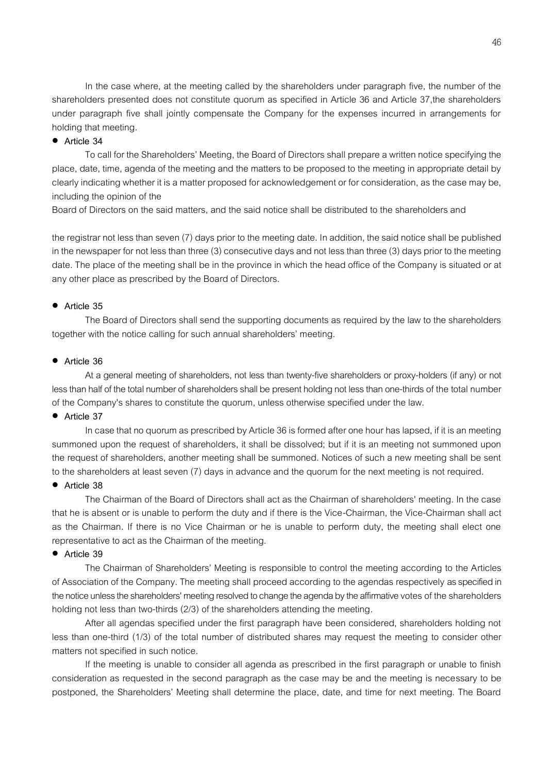In the case where, at the meeting called by the shareholders under paragraph five, the number of the shareholders presented does not constitute quorum as specified in Article 36 and Article 37,the shareholders under paragraph five shall jointly compensate the Company for the expenses incurred in arrangements for holding that meeting.

# **Article 34**

To call for the Shareholders' Meeting, the Board of Directors shall prepare a written notice specifying the place, date, time, agenda of the meeting and the matters to be proposed to the meeting in appropriate detail by clearly indicating whether it is a matter proposed for acknowledgement or for consideration, as the case may be, including the opinion of the

Board of Directors on the said matters, and the said notice shall be distributed to the shareholders and

the registrar not less than seven (7) days prior to the meeting date. In addition, the said notice shall be published in the newspaper for not less than three (3) consecutive days and not less than three (3) days prior to the meeting date. The place of the meeting shall be in the province in which the head office of the Company is situated or at any other place as prescribed by the Board of Directors.

### **Article 35**

The Board of Directors shall send the supporting documents as required by the law to the shareholders together with the notice calling for such annual shareholders' meeting.

#### **Article 36**

At a general meeting of shareholders, not less than twenty-five shareholders or proxy-holders (if any) or not less than half of the total number of shareholders shall be present holding not less than one-thirds of the total number of the Company's shares to constitute the quorum, unless otherwise specified under the law.

## **Article 37**

In case that no quorum as prescribed by Article 36 is formed after one hour has lapsed, if it is an meeting summoned upon the request of shareholders, it shall be dissolved; but if it is an meeting not summoned upon the request of shareholders, another meeting shall be summoned. Notices of such a new meeting shall be sent to the shareholders at least seven (7) days in advance and the quorum for the next meeting is not required.

#### **Article 38**

The Chairman of the Board of Directors shall act as the Chairman of shareholders' meeting. In the case that he is absent or is unable to perform the duty and if there is the Vice-Chairman, the Vice-Chairman shall act as the Chairman. If there is no Vice Chairman or he is unable to perform duty, the meeting shall elect one representative to act as the Chairman of the meeting.

#### **Article 39**

The Chairman of Shareholders' Meeting is responsible to control the meeting according to the Articles of Association of the Company. The meeting shall proceed according to the agendas respectively as specified in the notice unless the shareholders' meeting resolved to change the agenda by the affirmative votes of the shareholders holding not less than two-thirds (2/3) of the shareholders attending the meeting.

After all agendas specified under the first paragraph have been considered, shareholders holding not less than one-third (1/3) of the total number of distributed shares may request the meeting to consider other matters not specified in such notice.

If the meeting is unable to consider all agenda as prescribed in the first paragraph or unable to finish consideration as requested in the second paragraph as the case may be and the meeting is necessary to be postponed, the Shareholders' Meeting shall determine the place, date, and time for next meeting. The Board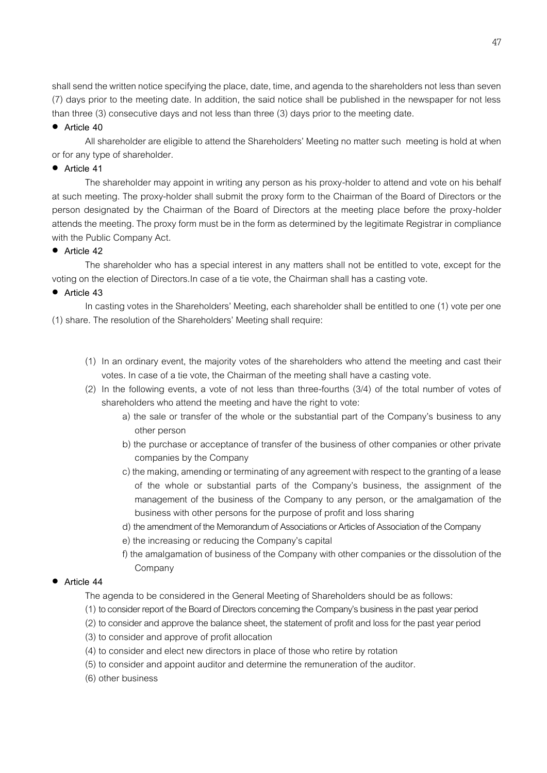shall send the written notice specifying the place, date, time, and agenda to the shareholders not less than seven (7) days prior to the meeting date. In addition, the said notice shall be published in the newspaper for not less than three (3) consecutive days and not less than three (3) days prior to the meeting date.

## **Article 40**

All shareholder are eligible to attend the Shareholders' Meeting no matter such meeting is hold at when or for any type of shareholder.

## **Article 41**

The shareholder may appoint in writing any person as his proxy-holder to attend and vote on his behalf at such meeting. The proxy-holder shall submit the proxy form to the Chairman of the Board of Directors or the person designated by the Chairman of the Board of Directors at the meeting place before the proxy-holder attends the meeting. The proxy form must be in the form as determined by the legitimate Registrar in compliance with the Public Company Act.

## **Article 42**

The shareholder who has a special interest in any matters shall not be entitled to vote, except for the voting on the election of Directors.In case of a tie vote, the Chairman shall has a casting vote.

## **Article 43**

In casting votes in the Shareholders' Meeting, each shareholder shall be entitled to one (1) vote per one (1) share. The resolution of the Shareholders' Meeting shall require:

- (1) In an ordinary event, the majority votes of the shareholders who attend the meeting and cast their votes. In case of a tie vote, the Chairman of the meeting shall have a casting vote.
- (2) In the following events, a vote of not less than three-fourths (3/4) of the total number of votes of shareholders who attend the meeting and have the right to vote:
	- a) the sale or transfer of the whole or the substantial part of the Company's business to any other person
	- b) the purchase or acceptance of transfer of the business of other companies or other private companies by the Company
	- c) the making, amending or terminating of any agreement with respect to the granting of a lease of the whole or substantial parts of the Company's business, the assignment of the management of the business of the Company to any person, or the amalgamation of the business with other persons for the purpose of profit and loss sharing
	- d) the amendment of the Memorandum of Associations or Articles of Association of the Company
	- e) the increasing or reducing the Company's capital
	- f) the amalgamation of business of the Company with other companies or the dissolution of the Company

# **Article 44**

The agenda to be considered in the General Meeting of Shareholders should be as follows:

- (1) to consider report of the Board of Directors concerning the Company's business in the pastyear period
- (2) to consider and approve the balance sheet, the statement of profit and loss for the past year period
- (3) to consider and approve of profit allocation
- (4) to consider and elect new directors in place of those who retire by rotation
- (5) to consider and appoint auditor and determine the remuneration of the auditor.
- (6) other business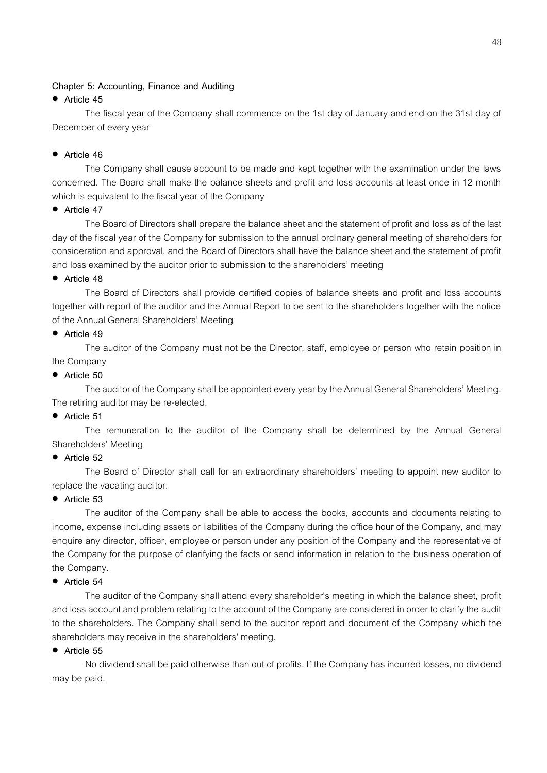## **Chapter 5: Accounting, Finance and Auditing**

## **Article 45**

The fiscal year of the Company shall commence on the 1st day of January and end on the 31st day of December of every year

# **Article 46**

The Company shall cause account to be made and kept together with the examination under the laws concerned. The Board shall make the balance sheets and profit and loss accounts at least once in 12 month which is equivalent to the fiscal year of the Company

## **Article 47**

The Board of Directors shall prepare the balance sheet and the statement of profit and loss as of the last day of the fiscal year of the Company for submission to the annual ordinary general meeting of shareholders for consideration and approval, and the Board of Directors shall have the balance sheet and the statement of profit and loss examined by the auditor prior to submission to the shareholders' meeting

## **Article 48**

The Board of Directors shall provide certified copies of balance sheets and profit and loss accounts together with report of the auditor and the Annual Report to be sent to the shareholders together with the notice of the Annual General Shareholders' Meeting

## **Article 49**

The auditor of the Company must not be the Director, staff, employee or person who retain position in the Company

## **Article 50**

The auditor of the Company shall be appointed every year by the Annual General Shareholders' Meeting. The retiring auditor may be re-elected.

# **Article 51**

The remuneration to the auditor of the Company shall be determined by the Annual General Shareholders' Meeting

# **Article 52**

The Board of Director shall call for an extraordinary shareholders' meeting to appoint new auditor to replace the vacating auditor.

### **Article 53**

The auditor of the Company shall be able to access the books, accounts and documents relating to income, expense including assets or liabilities of the Company during the office hour of the Company, and may enquire any director, officer, employee or person under any position of the Company and the representative of the Company for the purpose of clarifying the facts or send information in relation to the business operation of the Company.

### **Article 54**

The auditor of the Company shall attend every shareholder's meeting in which the balance sheet, profit and loss account and problem relating to the account of the Company are considered in order to clarify the audit to the shareholders. The Company shall send to the auditor report and document of the Company which the shareholders may receive in the shareholders' meeting.

### **Article 55**

No dividend shall be paid otherwise than out of profits. If the Company has incurred losses, no dividend may be paid.